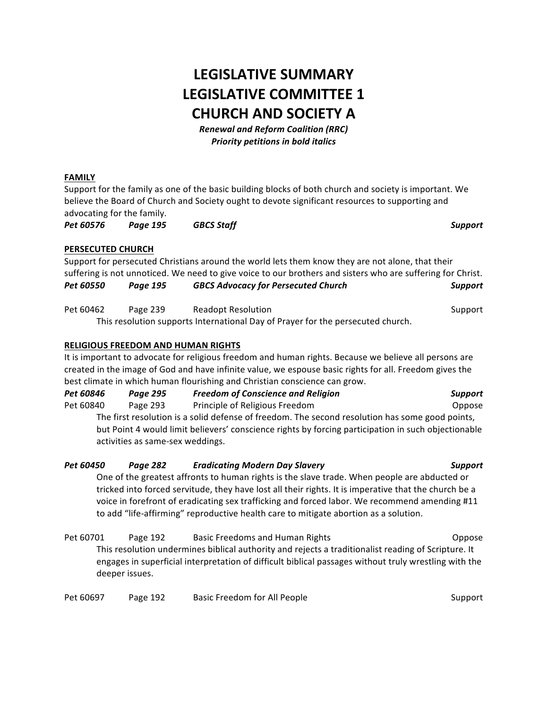# **LEGISLATIVE SUMMARY LEGISLATIVE COMMITTEE 1 CHURCH AND SOCIETY A**

*Renewal and Reform Coalition (RRC) Priority petitions in bold italics*

## **FAMILY**

Support for the family as one of the basic building blocks of both church and society is important. We believe the Board of Church and Society ought to devote significant resources to supporting and advocating for the family.

*Pet 60576 Page 195 GBCS Staff Support*

## **PERSECUTED CHURCH**

|           |          | Support for persecuted Christians around the world lets them know they are not alone, that their            |                |
|-----------|----------|-------------------------------------------------------------------------------------------------------------|----------------|
|           |          | suffering is not unnoticed. We need to give voice to our brothers and sisters who are suffering for Christ. |                |
| Pet 60550 | Paae 195 | <b>GBCS Advocacy for Persecuted Church</b>                                                                  | <b>Support</b> |
| Pet 60462 | Page 239 | <b>Readopt Resolution</b>                                                                                   | Support        |
|           |          | This resolution supports International Day of Prayer for the persecuted church.                             |                |

## **RELIGIOUS FREEDOM AND HUMAN RIGHTS**

It is important to advocate for religious freedom and human rights. Because we believe all persons are created in the image of God and have infinite value, we espouse basic rights for all. Freedom gives the best climate in which human flourishing and Christian conscience can grow.

| Pet 60846 | Page 295                         | <b>Freedom of Conscience and Religion</b>                                                           | <b>Support</b> |
|-----------|----------------------------------|-----------------------------------------------------------------------------------------------------|----------------|
| Pet 60840 | Page 293                         | Principle of Religious Freedom                                                                      | Oppose         |
|           |                                  | The first resolution is a solid defense of freedom. The second resolution has some good points,     |                |
|           | activities as same-sex weddings. | but Point 4 would limit believers' conscience rights by forcing participation in such objectionable |                |
|           |                                  |                                                                                                     |                |

| Pet 60450 | Page 282 | <b>Eradicating Modern Day Slavery</b>                                                                                                                                                                                             | <b>Support</b> |
|-----------|----------|-----------------------------------------------------------------------------------------------------------------------------------------------------------------------------------------------------------------------------------|----------------|
|           |          | One of the greatest affronts to human rights is the slave trade. When people are abducted or                                                                                                                                      |                |
|           |          | tricked into forced servitude, they have lost all their rights. It is imperative that the church be a                                                                                                                             |                |
|           |          | voice in forefront of eradicating sex trafficking and forced labor. We recommend amending #11                                                                                                                                     |                |
|           |          | to add "life-affirming" reproductive health care to mitigate abortion as a solution.                                                                                                                                              |                |
| Pet 60701 | Page 192 | <b>Basic Freedoms and Human Rights</b>                                                                                                                                                                                            | Oppose         |
| $-1$      |          | $\mathbf{r}$ . The set of the set of the set of the set of the set of the set of the set of the set of the set of the set of the set of the set of the set of the set of the set of the set of the set of the set of the set of t |                |

This resolution undermines biblical authority and rejects a traditionalist reading of Scripture. It engages in superficial interpretation of difficult biblical passages without truly wrestling with the deeper issues.

| Pet 60697 | Page 192 | Basic Freedom for All People | Support |
|-----------|----------|------------------------------|---------|
|-----------|----------|------------------------------|---------|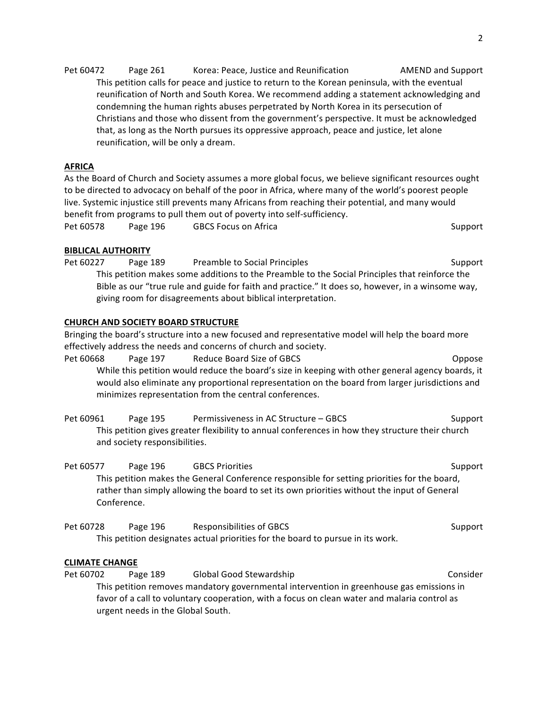Pet 60472 Page 261 Korea: Peace, Justice and Reunification MEND and Support This petition calls for peace and justice to return to the Korean peninsula, with the eventual reunification of North and South Korea. We recommend adding a statement acknowledging and condemning the human rights abuses perpetrated by North Korea in its persecution of Christians and those who dissent from the government's perspective. It must be acknowledged that, as long as the North pursues its oppressive approach, peace and justice, let alone reunification, will be only a dream.

## **AFRICA**

As the Board of Church and Society assumes a more global focus, we believe significant resources ought to be directed to advocacy on behalf of the poor in Africa, where many of the world's poorest people live. Systemic injustice still prevents many Africans from reaching their potential, and many would benefit from programs to pull them out of poverty into self-sufficiency.

Pet 60578 Page 196 GBCS Focus on Africa **Support** Support

# **BIBLICAL AUTHORITY**

Pet 60227 Page 189 Preamble to Social Principles Contact Contact Cupport This petition makes some additions to the Preamble to the Social Principles that reinforce the Bible as our "true rule and guide for faith and practice." It does so, however, in a winsome way, giving room for disagreements about biblical interpretation.

# **CHURCH AND SOCIETY BOARD STRUCTURE**

Bringing the board's structure into a new focused and representative model will help the board more effectively address the needs and concerns of church and society.

Pet 60668 Page 197 Reduce Board Size of GBCS Contract Compose While this petition would reduce the board's size in keeping with other general agency boards, it would also eliminate any proportional representation on the board from larger jurisdictions and minimizes representation from the central conferences.

Pet 60961 Page 195 Permissiveness in AC Structure – GBCS Support This petition gives greater flexibility to annual conferences in how they structure their church and society responsibilities.

Pet 60577 Page 196 GBCS Priorities Support This petition makes the General Conference responsible for setting priorities for the board, rather than simply allowing the board to set its own priorities without the input of General Conference.

Pet 60728 Page 196 Responsibilities of GBCS Responsibilities of GBCS Responsible Support This petition designates actual priorities for the board to pursue in its work.

# **CLIMATE CHANGE**

Pet 60702 Page 189 Global Good Stewardship Consider Consider This petition removes mandatory governmental intervention in greenhouse gas emissions in favor of a call to voluntary cooperation, with a focus on clean water and malaria control as urgent needs in the Global South.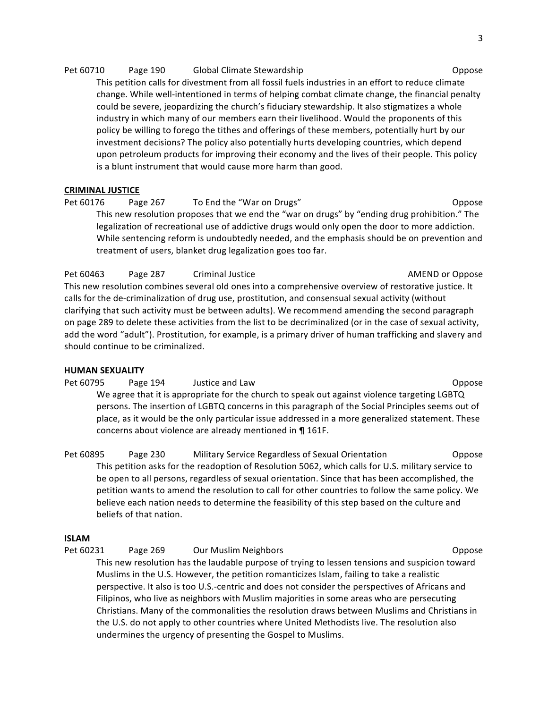#### Pet 60710 Page 190 Global Climate Stewardship Contract Compose

This petition calls for divestment from all fossil fuels industries in an effort to reduce climate change. While well-intentioned in terms of helping combat climate change, the financial penalty could be severe, jeopardizing the church's fiduciary stewardship. It also stigmatizes a whole industry in which many of our members earn their livelihood. Would the proponents of this policy be willing to forego the tithes and offerings of these members, potentially hurt by our investment decisions? The policy also potentially hurts developing countries, which depend upon petroleum products for improving their economy and the lives of their people. This policy is a blunt instrument that would cause more harm than good.

#### **CRIMINAL JUSTICE**

Pet 60176 Page 267 To End the "War on Drugs" Channel Compose This new resolution proposes that we end the "war on drugs" by "ending drug prohibition." The legalization of recreational use of addictive drugs would only open the door to more addiction. While sentencing reform is undoubtedly needed, and the emphasis should be on prevention and treatment of users, blanket drug legalization goes too far.

Pet 60463 Page 287 Criminal Justice **Communist Construction Communist Construction** AMEND or Oppose This new resolution combines several old ones into a comprehensive overview of restorative justice. It calls for the de-criminalization of drug use, prostitution, and consensual sexual activity (without clarifying that such activity must be between adults). We recommend amending the second paragraph on page 289 to delete these activities from the list to be decriminalized (or in the case of sexual activity, add the word "adult"). Prostitution, for example, is a primary driver of human trafficking and slavery and should continue to be criminalized.

#### **HUMAN SEXUALITY**

Pet 60795 Page 194 Justice and Law Depose Control of the Coppose of the Coppose We agree that it is appropriate for the church to speak out against violence targeting LGBTQ persons. The insertion of LGBTQ concerns in this paragraph of the Social Principles seems out of place, as it would be the only particular issue addressed in a more generalized statement. These concerns about violence are already mentioned in ¶ 161F.

Pet 60895 Page 230 Military Service Regardless of Sexual Orientation Oppose This petition asks for the readoption of Resolution 5062, which calls for U.S. military service to be open to all persons, regardless of sexual orientation. Since that has been accomplished, the petition wants to amend the resolution to call for other countries to follow the same policy. We believe each nation needs to determine the feasibility of this step based on the culture and beliefs of that nation.

#### **ISLAM**

Pet 60231 Page 269 Our Muslim Neighbors Changes Area and Coppose This new resolution has the laudable purpose of trying to lessen tensions and suspicion toward Muslims in the U.S. However, the petition romanticizes Islam, failing to take a realistic perspective. It also is too U.S.-centric and does not consider the perspectives of Africans and Filipinos, who live as neighbors with Muslim majorities in some areas who are persecuting Christians. Many of the commonalities the resolution draws between Muslims and Christians in the U.S. do not apply to other countries where United Methodists live. The resolution also undermines the urgency of presenting the Gospel to Muslims.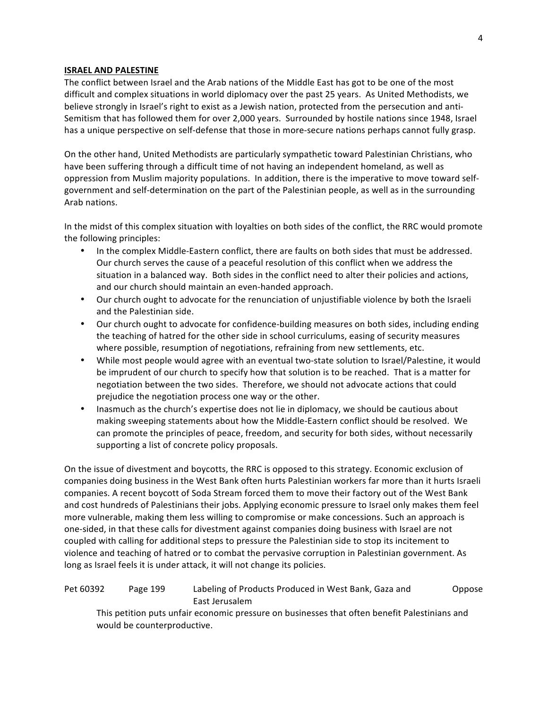#### **ISRAEL AND PALESTINE**

The conflict between Israel and the Arab nations of the Middle East has got to be one of the most difficult and complex situations in world diplomacy over the past 25 years. As United Methodists, we believe strongly in Israel's right to exist as a Jewish nation, protected from the persecution and anti-Semitism that has followed them for over 2,000 years. Surrounded by hostile nations since 1948, Israel has a unique perspective on self-defense that those in more-secure nations perhaps cannot fully grasp.

On the other hand, United Methodists are particularly sympathetic toward Palestinian Christians, who have been suffering through a difficult time of not having an independent homeland, as well as oppression from Muslim majority populations. In addition, there is the imperative to move toward selfgovernment and self-determination on the part of the Palestinian people, as well as in the surrounding Arab nations.

In the midst of this complex situation with loyalties on both sides of the conflict, the RRC would promote the following principles:

- In the complex Middle-Eastern conflict, there are faults on both sides that must be addressed. Our church serves the cause of a peaceful resolution of this conflict when we address the situation in a balanced way. Both sides in the conflict need to alter their policies and actions, and our church should maintain an even-handed approach.
- Our church ought to advocate for the renunciation of unjustifiable violence by both the Israeli and the Palestinian side.
- Our church ought to advocate for confidence-building measures on both sides, including ending the teaching of hatred for the other side in school curriculums, easing of security measures where possible, resumption of negotiations, refraining from new settlements, etc.
- While most people would agree with an eventual two-state solution to Israel/Palestine, it would be imprudent of our church to specify how that solution is to be reached. That is a matter for negotiation between the two sides. Therefore, we should not advocate actions that could prejudice the negotiation process one way or the other.
- Inasmuch as the church's expertise does not lie in diplomacy, we should be cautious about making sweeping statements about how the Middle-Eastern conflict should be resolved. We can promote the principles of peace, freedom, and security for both sides, without necessarily supporting a list of concrete policy proposals.

On the issue of divestment and boycotts, the RRC is opposed to this strategy. Economic exclusion of companies doing business in the West Bank often hurts Palestinian workers far more than it hurts Israeli companies. A recent boycott of Soda Stream forced them to move their factory out of the West Bank and cost hundreds of Palestinians their jobs. Applying economic pressure to Israel only makes them feel more vulnerable, making them less willing to compromise or make concessions. Such an approach is one-sided, in that these calls for divestment against companies doing business with Israel are not coupled with calling for additional steps to pressure the Palestinian side to stop its incitement to violence and teaching of hatred or to combat the pervasive corruption in Palestinian government. As long as Israel feels it is under attack, it will not change its policies.

## Pet 60392 Page 199 Labeling of Products Produced in West Bank, Gaza and Oppose East Jerusalem

This petition puts unfair economic pressure on businesses that often benefit Palestinians and would be counterproductive.